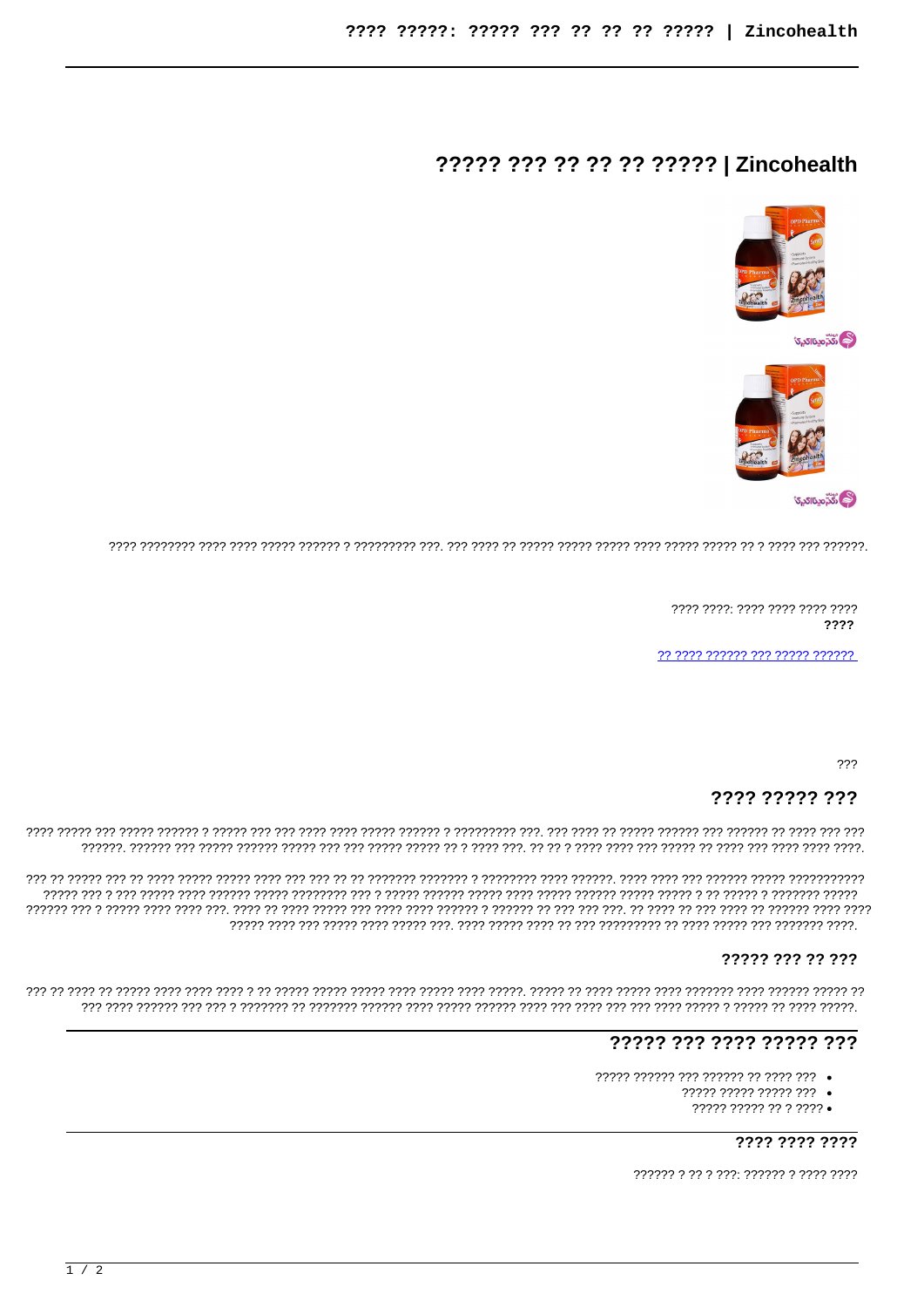# ????? ??? ?? ?? ?? ?????? | Zincohealth





7777 7777: 7777 7777 7777 7777 2222

???

# 7777 77777 777

### ????? ??? ?? ???

# ????? ??? ???? ????? ???

- 77777 777777 777 777777 77 7777 777
	- ????? ????? ????? ???
		- ????? ????? ?? ? ???? •

???? ???? ????

?????? ? ?? ? ???. ?????? ? ???? ????